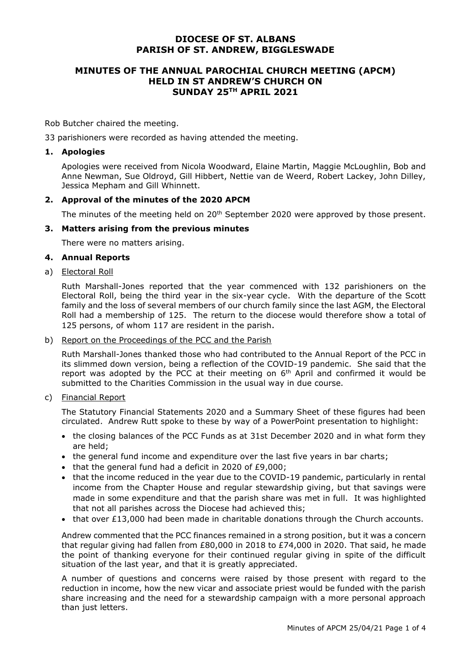# **DIOCESE OF ST. ALBANS PARISH OF ST. ANDREW, BIGGLESWADE**

# **MINUTES OF THE ANNUAL PAROCHIAL CHURCH MEETING (APCM) HELD IN ST ANDREW'S CHURCH ON SUNDAY 25 TH APRIL 2021**

Rob Butcher chaired the meeting.

33 parishioners were recorded as having attended the meeting.

### **1. Apologies**

Apologies were received from Nicola Woodward, Elaine Martin, Maggie McLoughlin, Bob and Anne Newman, Sue Oldroyd, Gill Hibbert, Nettie van de Weerd, Robert Lackey, John Dilley, Jessica Mepham and Gill Whinnett.

### **2. Approval of the minutes of the 2020 APCM**

The minutes of the meeting held on 20<sup>th</sup> September 2020 were approved by those present.

### **3. Matters arising from the previous minutes**

There were no matters arising.

#### **4. Annual Reports**

### a) Electoral Roll

Ruth Marshall-Jones reported that the year commenced with 132 parishioners on the Electoral Roll, being the third year in the six-year cycle. With the departure of the Scott family and the loss of several members of our church family since the last AGM, the Electoral Roll had a membership of 125. The return to the diocese would therefore show a total of 125 persons, of whom 117 are resident in the parish.

### b) Report on the Proceedings of the PCC and the Parish

Ruth Marshall-Jones thanked those who had contributed to the Annual Report of the PCC in its slimmed down version, being a reflection of the COVID-19 pandemic. She said that the report was adopted by the PCC at their meeting on  $6<sup>th</sup>$  April and confirmed it would be submitted to the Charities Commission in the usual way in due course.

c) Financial Report

The Statutory Financial Statements 2020 and a Summary Sheet of these figures had been circulated. Andrew Rutt spoke to these by way of a PowerPoint presentation to highlight:

- the closing balances of the PCC Funds as at 31st December 2020 and in what form they are held;
- the general fund income and expenditure over the last five years in bar charts;
- that the general fund had a deficit in 2020 of £9,000;
- that the income reduced in the year due to the COVID-19 pandemic, particularly in rental income from the Chapter House and regular stewardship giving, but that savings were made in some expenditure and that the parish share was met in full. It was highlighted that not all parishes across the Diocese had achieved this;
- that over £13,000 had been made in charitable donations through the Church accounts.

Andrew commented that the PCC finances remained in a strong position, but it was a concern that regular giving had fallen from £80,000 in 2018 to £74,000 in 2020. That said, he made the point of thanking everyone for their continued regular giving in spite of the difficult situation of the last year, and that it is greatly appreciated.

A number of questions and concerns were raised by those present with regard to the reduction in income, how the new vicar and associate priest would be funded with the parish share increasing and the need for a stewardship campaign with a more personal approach than just letters.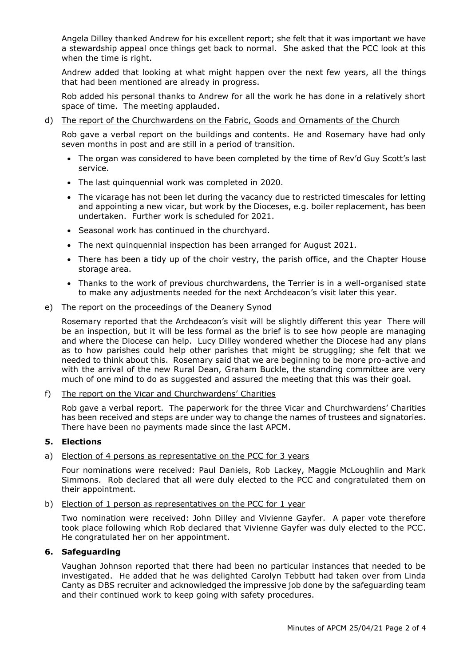Angela Dilley thanked Andrew for his excellent report; she felt that it was important we have a stewardship appeal once things get back to normal. She asked that the PCC look at this when the time is right.

Andrew added that looking at what might happen over the next few years, all the things that had been mentioned are already in progress.

Rob added his personal thanks to Andrew for all the work he has done in a relatively short space of time. The meeting applauded.

### d) The report of the Churchwardens on the Fabric, Goods and Ornaments of the Church

Rob gave a verbal report on the buildings and contents. He and Rosemary have had only seven months in post and are still in a period of transition.

- The organ was considered to have been completed by the time of Rev'd Guy Scott's last service.
- The last quinquennial work was completed in 2020.
- The vicarage has not been let during the vacancy due to restricted timescales for letting and appointing a new vicar, but work by the Dioceses, e.g. boiler replacement, has been undertaken. Further work is scheduled for 2021.
- Seasonal work has continued in the churchyard.
- The next quinquennial inspection has been arranged for August 2021.
- There has been a tidy up of the choir vestry, the parish office, and the Chapter House storage area.
- Thanks to the work of previous churchwardens, the Terrier is in a well-organised state to make any adjustments needed for the next Archdeacon's visit later this year.

### e) The report on the proceedings of the Deanery Synod

Rosemary reported that the Archdeacon's visit will be slightly different this year There will be an inspection, but it will be less formal as the brief is to see how people are managing and where the Diocese can help. Lucy Dilley wondered whether the Diocese had any plans as to how parishes could help other parishes that might be struggling; she felt that we needed to think about this. Rosemary said that we are beginning to be more pro-active and with the arrival of the new Rural Dean, Graham Buckle, the standing committee are very much of one mind to do as suggested and assured the meeting that this was their goal.

### f) The report on the Vicar and Churchwardens' Charities

Rob gave a verbal report. The paperwork for the three Vicar and Churchwardens' Charities has been received and steps are under way to change the names of trustees and signatories. There have been no payments made since the last APCM.

### **5. Elections**

### a) Election of 4 persons as representative on the PCC for 3 years

Four nominations were received: Paul Daniels, Rob Lackey, Maggie McLoughlin and Mark Simmons. Rob declared that all were duly elected to the PCC and congratulated them on their appointment.

### b) Election of 1 person as representatives on the PCC for 1 year

Two nomination were received: John Dilley and Vivienne Gayfer. A paper vote therefore took place following which Rob declared that Vivienne Gayfer was duly elected to the PCC. He congratulated her on her appointment.

### **6. Safeguarding**

Vaughan Johnson reported that there had been no particular instances that needed to be investigated. He added that he was delighted Carolyn Tebbutt had taken over from Linda Canty as DBS recruiter and acknowledged the impressive job done by the safeguarding team and their continued work to keep going with safety procedures.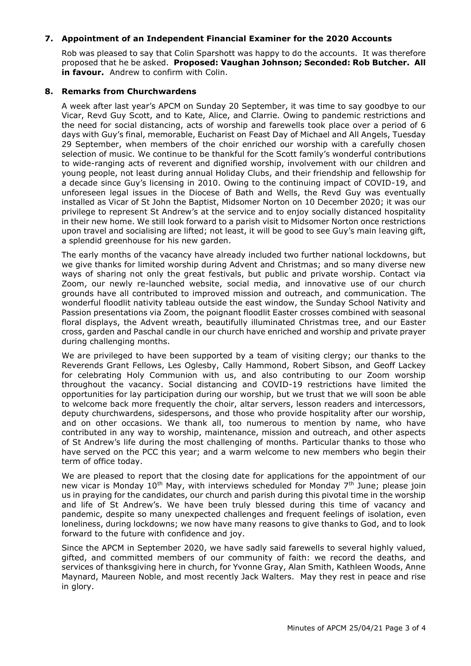## **7. Appointment of an Independent Financial Examiner for the 2020 Accounts**

Rob was pleased to say that Colin Sparshott was happy to do the accounts. It was therefore proposed that he be asked. **Proposed: Vaughan Johnson; Seconded: Rob Butcher. All in favour.** Andrew to confirm with Colin.

### **8. Remarks from Churchwardens**

A week after last year's APCM on Sunday 20 September, it was time to say goodbye to our Vicar, Revd Guy Scott, and to Kate, Alice, and Clarrie. Owing to pandemic restrictions and the need for social distancing, acts of worship and farewells took place over a period of 6 days with Guy's final, memorable, Eucharist on Feast Day of Michael and All Angels, Tuesday 29 September, when members of the choir enriched our worship with a carefully chosen selection of music. We continue to be thankful for the Scott family's wonderful contributions to wide-ranging acts of reverent and dignified worship, involvement with our children and young people, not least during annual Holiday Clubs, and their friendship and fellowship for a decade since Guy's licensing in 2010. Owing to the continuing impact of COVID-19, and unforeseen legal issues in the Diocese of Bath and Wells, the Revd Guy was eventually installed as Vicar of St John the Baptist, Midsomer Norton on 10 December 2020; it was our privilege to represent St Andrew's at the service and to enjoy socially distanced hospitality in their new home. We still look forward to a parish visit to Midsomer Norton once restrictions upon travel and socialising are lifted; not least, it will be good to see Guy's main leaving gift, a splendid greenhouse for his new garden.

The early months of the vacancy have already included two further national lockdowns, but we give thanks for limited worship during Advent and Christmas; and so many diverse new ways of sharing not only the great festivals, but public and private worship. Contact via Zoom, our newly re-launched website, social media, and innovative use of our church grounds have all contributed to improved mission and outreach, and communication. The wonderful floodlit nativity tableau outside the east window, the Sunday School Nativity and Passion presentations via Zoom, the poignant floodlit Easter crosses combined with seasonal floral displays, the Advent wreath, beautifully illuminated Christmas tree, and our Easter cross, garden and Paschal candle in our church have enriched and worship and private prayer during challenging months.

We are privileged to have been supported by a team of visiting clergy; our thanks to the Reverends Grant Fellows, Les Oglesby, Cally Hammond, Robert Sibson, and Geoff Lackey for celebrating Holy Communion with us, and also contributing to our Zoom worship throughout the vacancy. Social distancing and COVID-19 restrictions have limited the opportunities for lay participation during our worship, but we trust that we will soon be able to welcome back more frequently the choir, altar servers, lesson readers and intercessors, deputy churchwardens, sidespersons, and those who provide hospitality after our worship, and on other occasions. We thank all, too numerous to mention by name, who have contributed in any way to worship, maintenance, mission and outreach, and other aspects of St Andrew's life during the most challenging of months. Particular thanks to those who have served on the PCC this year; and a warm welcome to new members who begin their term of office today.

We are pleased to report that the closing date for applications for the appointment of our new vicar is Monday 10<sup>th</sup> May, with interviews scheduled for Monday 7<sup>th</sup> June; please join us in praying for the candidates, our church and parish during this pivotal time in the worship and life of St Andrew's. We have been truly blessed during this time of vacancy and pandemic, despite so many unexpected challenges and frequent feelings of isolation, even loneliness, during lockdowns; we now have many reasons to give thanks to God, and to look forward to the future with confidence and joy.

Since the APCM in September 2020, we have sadly said farewells to several highly valued, gifted, and committed members of our community of faith: we record the deaths, and services of thanksgiving here in church, for Yvonne Gray, Alan Smith, Kathleen Woods, Anne Maynard, Maureen Noble, and most recently Jack Walters. May they rest in peace and rise in glory.